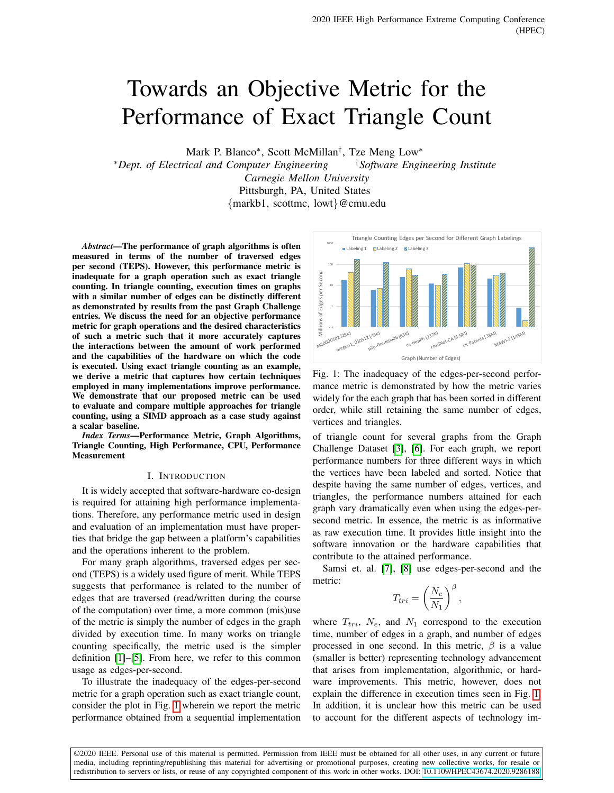# Towards an Objective Metric for the Performance of Exact Triangle Count

Mark P. Blanco<sup>\*</sup>, Scott McMillan<sup>†</sup>, Tze Meng Low<sup>\*</sup>

<sup>∗</sup>*Dept. of Electrical and Computer Engineering* †*Software Engineering Institute Carnegie Mellon University* Pittsburgh, PA, United States

{markb1, scottmc, lowt}@cmu.edu

*Abstract*—The performance of graph algorithms is often measured in terms of the number of traversed edges per second (TEPS). However, this performance metric is inadequate for a graph operation such as exact triangle counting. In triangle counting, execution times on graphs with a similar number of edges can be distinctly different as demonstrated by results from the past Graph Challenge entries. We discuss the need for an objective performance metric for graph operations and the desired characteristics of such a metric such that it more accurately captures the interactions between the amount of work performed and the capabilities of the hardware on which the code is executed. Using exact triangle counting as an example, we derive a metric that captures how certain techniques employed in many implementations improve performance. We demonstrate that our proposed metric can be used to evaluate and compare multiple approaches for triangle counting, using a SIMD approach as a case study against a scalar baseline.

*Index Terms*—Performance Metric, Graph Algorithms, Triangle Counting, High Performance, CPU, Performance Measurement

#### I. INTRODUCTION

It is widely accepted that software-hardware co-design is required for attaining high performance implementations. Therefore, any performance metric used in design and evaluation of an implementation must have properties that bridge the gap between a platform's capabilities and the operations inherent to the problem.

For many graph algorithms, traversed edges per second (TEPS) is a widely used figure of merit. While TEPS suggests that performance is related to the number of edges that are traversed (read/written during the course of the computation) over time, a more common (mis)use of the metric is simply the number of edges in the graph divided by execution time. In many works on triangle counting specifically, the metric used is the simpler definition [\[1\]](#page-6-0)–[\[5\]](#page-6-1). From here, we refer to this common usage as edges-per-second.

To illustrate the inadequacy of the edges-per-second metric for a graph operation such as exact triangle count, consider the plot in Fig. [1](#page-0-0) wherein we report the metric performance obtained from a sequential implementation

<span id="page-0-0"></span>

Fig. 1: The inadequacy of the edges-per-second performance metric is demonstrated by how the metric varies widely for the each graph that has been sorted in different order, while still retaining the same number of edges, vertices and triangles.

of triangle count for several graphs from the Graph Challenge Dataset [\[3\]](#page-6-2), [\[6\]](#page-6-3). For each graph, we report performance numbers for three different ways in which the vertices have been labeled and sorted. Notice that despite having the same number of edges, vertices, and triangles, the performance numbers attained for each graph vary dramatically even when using the edges-persecond metric. In essence, the metric is as informative as raw execution time. It provides little insight into the software innovation or the hardware capabilities that contribute to the attained performance.

Samsi et. al. [\[7\]](#page-6-4), [\[8\]](#page-6-5) use edges-per-second and the metric:

$$
T_{tri} = \left(\frac{N_e}{N_1}\right)^{\beta},\,
$$

where  $T_{tri}$ ,  $N_e$ , and  $N_1$  correspond to the execution time, number of edges in a graph, and number of edges processed in one second. In this metric,  $\beta$  is a value (smaller is better) representing technology advancement that arises from implementation, algorithmic, or hardware improvements. This metric, however, does not explain the difference in execution times seen in Fig. [1.](#page-0-0) In addition, it is unclear how this metric can be used to account for the different aspects of technology im-

©2020 IEEE. Personal use of this material is permitted. Permission from IEEE must be obtained for all other uses, in any current or future media, including reprinting/republishing this material for advertising or promotional purposes, creating new collective works, for resale or redistribution to servers or lists, or reuse of any copyrighted component of this work in other works. DOI: [10.1109/HPEC43674.2020.9286188](https://doi.org/10.1109/HPEC43674.2020.9286188)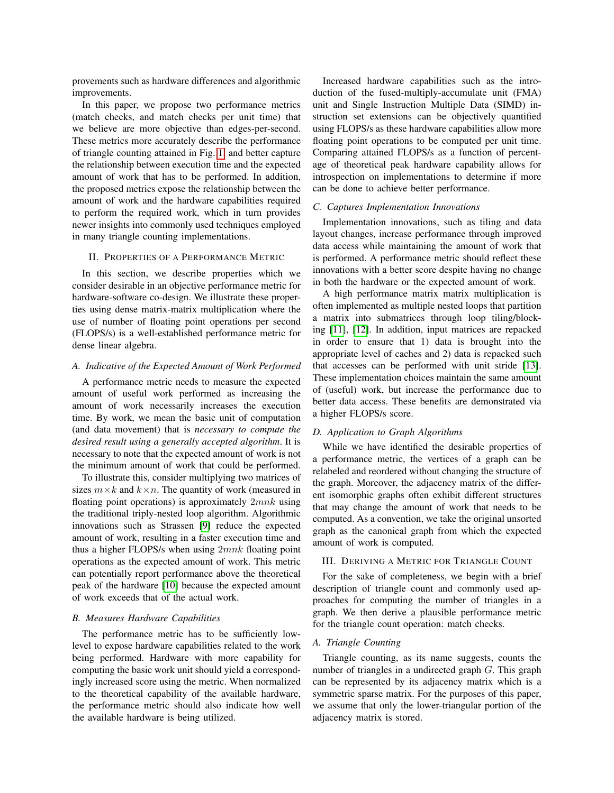provements such as hardware differences and algorithmic improvements.

In this paper, we propose two performance metrics (match checks, and match checks per unit time) that we believe are more objective than edges-per-second. These metrics more accurately describe the performance of triangle counting attained in Fig. [1,](#page-0-0) and better capture the relationship between execution time and the expected amount of work that has to be performed. In addition, the proposed metrics expose the relationship between the amount of work and the hardware capabilities required to perform the required work, which in turn provides newer insights into commonly used techniques employed in many triangle counting implementations.

## II. PROPERTIES OF A PERFORMANCE METRIC

In this section, we describe properties which we consider desirable in an objective performance metric for hardware-software co-design. We illustrate these properties using dense matrix-matrix multiplication where the use of number of floating point operations per second (FLOPS/s) is a well-established performance metric for dense linear algebra.

# *A. Indicative of the Expected Amount of Work Performed*

A performance metric needs to measure the expected amount of useful work performed as increasing the amount of work necessarily increases the execution time. By work, we mean the basic unit of computation (and data movement) that is *necessary to compute the desired result using a generally accepted algorithm*. It is necessary to note that the expected amount of work is not the minimum amount of work that could be performed.

To illustrate this, consider multiplying two matrices of sizes  $m \times k$  and  $k \times n$ . The quantity of work (measured in floating point operations) is approximately  $2mnk$  using the traditional triply-nested loop algorithm. Algorithmic innovations such as Strassen [\[9\]](#page-6-6) reduce the expected amount of work, resulting in a faster execution time and thus a higher FLOPS/s when using  $2mnk$  floating point operations as the expected amount of work. This metric can potentially report performance above the theoretical peak of the hardware [\[10\]](#page-6-7) because the expected amount of work exceeds that of the actual work.

#### *B. Measures Hardware Capabilities*

The performance metric has to be sufficiently lowlevel to expose hardware capabilities related to the work being performed. Hardware with more capability for computing the basic work unit should yield a correspondingly increased score using the metric. When normalized to the theoretical capability of the available hardware, the performance metric should also indicate how well the available hardware is being utilized.

Increased hardware capabilities such as the introduction of the fused-multiply-accumulate unit (FMA) unit and Single Instruction Multiple Data (SIMD) instruction set extensions can be objectively quantified using FLOPS/s as these hardware capabilities allow more floating point operations to be computed per unit time. Comparing attained FLOPS/s as a function of percentage of theoretical peak hardware capability allows for introspection on implementations to determine if more can be done to achieve better performance.

## *C. Captures Implementation Innovations*

Implementation innovations, such as tiling and data layout changes, increase performance through improved data access while maintaining the amount of work that is performed. A performance metric should reflect these innovations with a better score despite having no change in both the hardware or the expected amount of work.

A high performance matrix matrix multiplication is often implemented as multiple nested loops that partition a matrix into submatrices through loop tiling/blocking [\[11\]](#page-6-8), [\[12\]](#page-6-9). In addition, input matrices are repacked in order to ensure that 1) data is brought into the appropriate level of caches and 2) data is repacked such that accesses can be performed with unit stride [\[13\]](#page-6-10). These implementation choices maintain the same amount of (useful) work, but increase the performance due to better data access. These benefits are demonstrated via a higher FLOPS/s score.

#### *D. Application to Graph Algorithms*

While we have identified the desirable properties of a performance metric, the vertices of a graph can be relabeled and reordered without changing the structure of the graph. Moreover, the adjacency matrix of the different isomorphic graphs often exhibit different structures that may change the amount of work that needs to be computed. As a convention, we take the original unsorted graph as the canonical graph from which the expected amount of work is computed.

# III. DERIVING A METRIC FOR TRIANGLE COUNT

For the sake of completeness, we begin with a brief description of triangle count and commonly used approaches for computing the number of triangles in a graph. We then derive a plausible performance metric for the triangle count operation: match checks.

# *A. Triangle Counting*

Triangle counting, as its name suggests, counts the number of triangles in a undirected graph G. This graph can be represented by its adjacency matrix which is a symmetric sparse matrix. For the purposes of this paper, we assume that only the lower-triangular portion of the adjacency matrix is stored.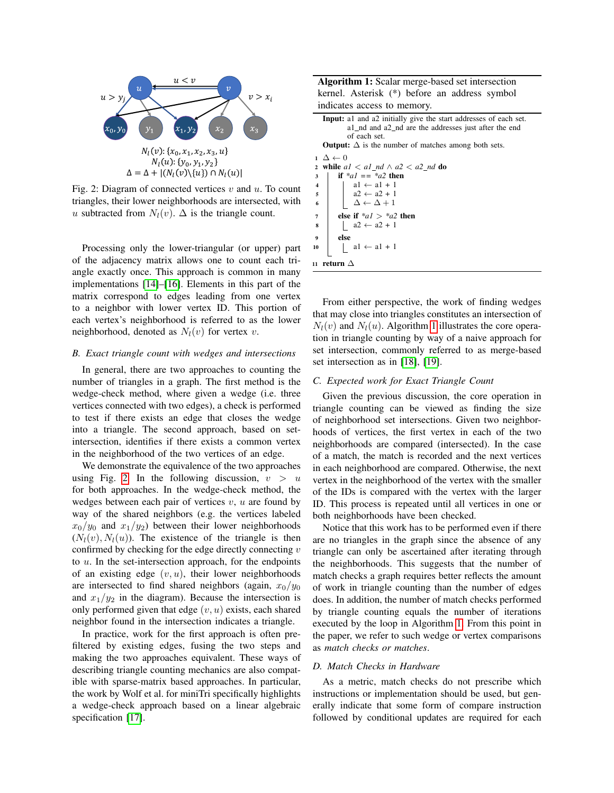<span id="page-2-0"></span>

Fig. 2: Diagram of connected vertices  $v$  and  $u$ . To count triangles, their lower neighborhoods are intersected, with u subtracted from  $N_l(v)$ .  $\Delta$  is the triangle count.

Processing only the lower-triangular (or upper) part of the adjacency matrix allows one to count each triangle exactly once. This approach is common in many implementations [\[14\]](#page-6-11)–[\[16\]](#page-6-12). Elements in this part of the matrix correspond to edges leading from one vertex to a neighbor with lower vertex ID. This portion of each vertex's neighborhood is referred to as the lower neighborhood, denoted as  $N_l(v)$  for vertex v.

## *B. Exact triangle count with wedges and intersections*

In general, there are two approaches to counting the number of triangles in a graph. The first method is the wedge-check method, where given a wedge (i.e. three vertices connected with two edges), a check is performed to test if there exists an edge that closes the wedge into a triangle. The second approach, based on setintersection, identifies if there exists a common vertex in the neighborhood of the two vertices of an edge.

We demonstrate the equivalence of the two approaches using Fig. [2.](#page-2-0) In the following discussion,  $v > u$ for both approaches. In the wedge-check method, the wedges between each pair of vertices  $v, u$  are found by way of the shared neighbors (e.g. the vertices labeled  $x_0/y_0$  and  $x_1/y_2$ ) between their lower neighborhoods  $(N_l(v), N_l(u))$ . The existence of the triangle is then confirmed by checking for the edge directly connecting  $v$ to u. In the set-intersection approach, for the endpoints of an existing edge  $(v, u)$ , their lower neighborhoods are intersected to find shared neighbors (again,  $x_0/y_0$ and  $x_1/y_2$  in the diagram). Because the intersection is only performed given that edge  $(v, u)$  exists, each shared neighbor found in the intersection indicates a triangle.

In practice, work for the first approach is often prefiltered by existing edges, fusing the two steps and making the two approaches equivalent. These ways of describing triangle counting mechanics are also compatible with sparse-matrix based approaches. In particular, the work by Wolf et al. for miniTri specifically highlights a wedge-check approach based on a linear algebraic specification [\[17\]](#page-6-13).

Algorithm 1: Scalar merge-based set intersection kernel. Asterisk (\*) before an address symbol indicates access to memory.

| <b>Input:</b> al and a2 initially give the start addresses of each set. |
|-------------------------------------------------------------------------|
| al nd and a2 nd are the addresses just after the end                    |
| of each set.                                                            |
| <b>Output:</b> $\Delta$ is the number of matches among both sets.       |
| $1 \Delta \leftarrow 0$                                                 |
| 2 while $a1 < a1$ nd $\wedge a2 < a2$ nd do                             |
| if $aI = \frac{a}{2}$ then<br>3                                         |
| $al \leftarrow al + l$<br>4                                             |
| $a2 \leftarrow a2 + 1$<br>5                                             |
| $\Delta \leftarrow \Delta + 1$<br>6                                     |
| else if $a/2 > a/2$ then<br>7                                           |
| $a2 \leftarrow a2 + 1$<br>8                                             |
| else<br>$\boldsymbol{9}$                                                |
| $al \leftarrow al + 1$<br>10                                            |
| return $\Delta$<br>11                                                   |

<span id="page-2-1"></span>From either perspective, the work of finding wedges that may close into triangles constitutes an intersection of  $N_l(v)$  and  $N_l(u)$ . Algorithm [1](#page-2-1) illustrates the core operation in triangle counting by way of a naive approach for set intersection, commonly referred to as merge-based set intersection as in [\[18\]](#page-6-14), [\[19\]](#page-6-15).

## *C. Expected work for Exact Triangle Count*

Given the previous discussion, the core operation in triangle counting can be viewed as finding the size of neighborhood set intersections. Given two neighborhoods of vertices, the first vertex in each of the two neighborhoods are compared (intersected). In the case of a match, the match is recorded and the next vertices in each neighborhood are compared. Otherwise, the next vertex in the neighborhood of the vertex with the smaller of the IDs is compared with the vertex with the larger ID. This process is repeated until all vertices in one or both neighborhoods have been checked.

Notice that this work has to be performed even if there are no triangles in the graph since the absence of any triangle can only be ascertained after iterating through the neighborhoods. This suggests that the number of match checks a graph requires better reflects the amount of work in triangle counting than the number of edges does. In addition, the number of match checks performed by triangle counting equals the number of iterations executed by the loop in Algorithm [1.](#page-2-1) From this point in the paper, we refer to such wedge or vertex comparisons as *match checks or matches*.

# *D. Match Checks in Hardware*

As a metric, match checks do not prescribe which instructions or implementation should be used, but generally indicate that some form of compare instruction followed by conditional updates are required for each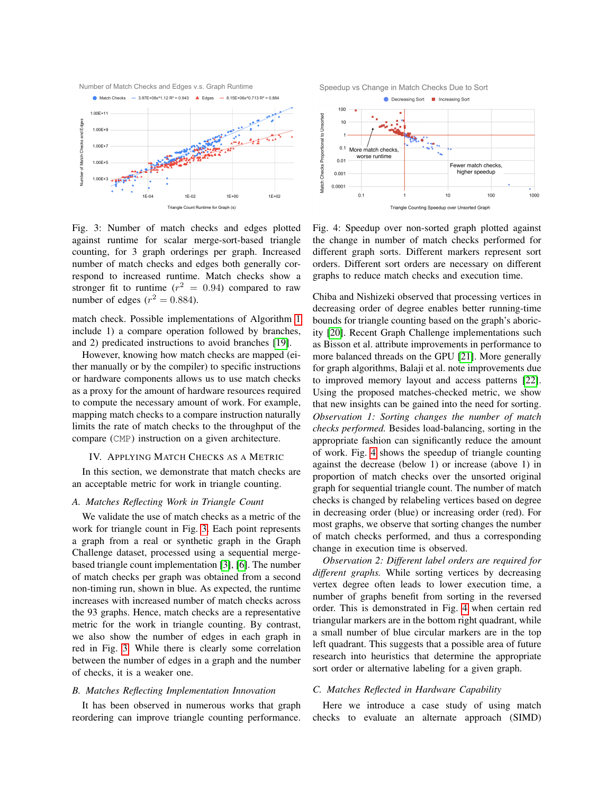<span id="page-3-0"></span>

Fig. 3: Number of match checks and edges plotted against runtime for scalar merge-sort-based triangle counting, for 3 graph orderings per graph. Increased number of match checks and edges both generally correspond to increased runtime. Match checks show a stronger fit to runtime  $(r^2 = 0.94)$  compared to raw number of edges ( $r^2 = 0.884$ ).

match check. Possible implementations of Algorithm [1](#page-2-1) include 1) a compare operation followed by branches, and 2) predicated instructions to avoid branches [\[19\]](#page-6-15).

However, knowing how match checks are mapped (either manually or by the compiler) to specific instructions or hardware components allows us to use match checks as a proxy for the amount of hardware resources required to compute the necessary amount of work. For example, mapping match checks to a compare instruction naturally limits the rate of match checks to the throughput of the compare (CMP) instruction on a given architecture.

#### IV. APPLYING MATCH CHECKS AS A METRIC

In this section, we demonstrate that match checks are an acceptable metric for work in triangle counting.

# *A. Matches Reflecting Work in Triangle Count*

We validate the use of match checks as a metric of the work for triangle count in Fig. [3.](#page-3-0) Each point represents a graph from a real or synthetic graph in the Graph Challenge dataset, processed using a sequential mergebased triangle count implementation [\[3\]](#page-6-2), [\[6\]](#page-6-3). The number of match checks per graph was obtained from a second non-timing run, shown in blue. As expected, the runtime increases with increased number of match checks across the 93 graphs. Hence, match checks are a representative metric for the work in triangle counting. By contrast, we also show the number of edges in each graph in red in Fig. [3.](#page-3-0) While there is clearly some correlation between the number of edges in a graph and the number of checks, it is a weaker one.

#### *B. Matches Reflecting Implementation Innovation*

It has been observed in numerous works that graph reordering can improve triangle counting performance.



Fig. 4: Speedup over non-sorted graph plotted against the change in number of match checks performed for different graph sorts. Different markers represent sort orders. Different sort orders are necessary on different graphs to reduce match checks and execution time.

Chiba and Nishizeki observed that processing vertices in decreasing order of degree enables better running-time bounds for triangle counting based on the graph's aboricity [\[20\]](#page-6-16). Recent Graph Challenge implementations such as Bisson et al. attribute improvements in performance to more balanced threads on the GPU [\[21\]](#page-6-17). More generally for graph algorithms, Balaji et al. note improvements due to improved memory layout and access patterns [\[22\]](#page-6-18). Using the proposed matches-checked metric, we show that new insights can be gained into the need for sorting. *Observation 1: Sorting changes the number of match checks performed.* Besides load-balancing, sorting in the appropriate fashion can significantly reduce the amount of work. Fig. [4](#page-3-1) shows the speedup of triangle counting against the decrease (below 1) or increase (above 1) in proportion of match checks over the unsorted original graph for sequential triangle count. The number of match checks is changed by relabeling vertices based on degree in decreasing order (blue) or increasing order (red). For most graphs, we observe that sorting changes the number of match checks performed, and thus a corresponding change in execution time is observed.

*Observation 2: Different label orders are required for different graphs.* While sorting vertices by decreasing vertex degree often leads to lower execution time, a number of graphs benefit from sorting in the reversed order. This is demonstrated in Fig. [4](#page-3-1) when certain red triangular markers are in the bottom right quadrant, while a small number of blue circular markers are in the top left quadrant. This suggests that a possible area of future research into heuristics that determine the appropriate sort order or alternative labeling for a given graph.

## *C. Matches Reflected in Hardware Capability*

Here we introduce a case study of using match checks to evaluate an alternate approach (SIMD)

<span id="page-3-1"></span>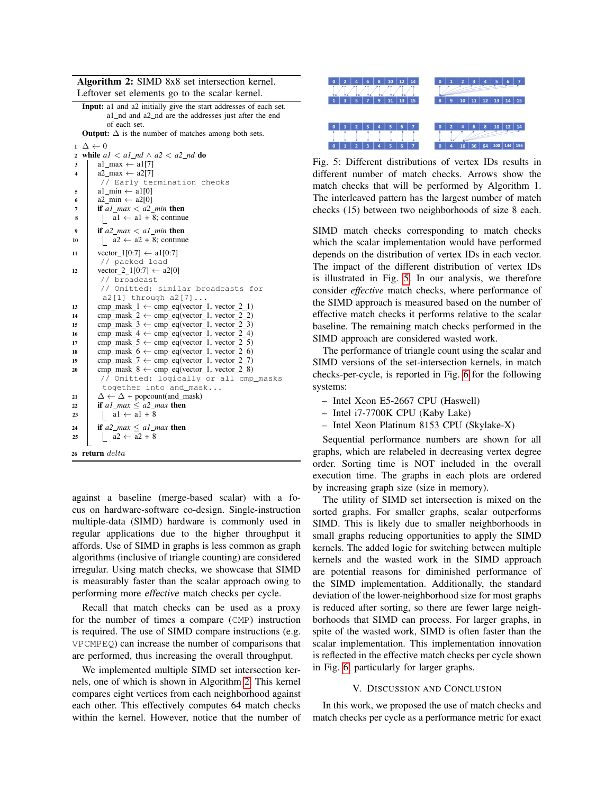Algorithm 2: SIMD 8x8 set intersection kernel.

Leftover set elements go to the scalar kernel. Input: a1 and a2 initially give the start addresses of each set. a1 nd and a2 nd are the addresses just after the end of each set. **Output:**  $\Delta$  is the number of matches among both sets.  $1 \Delta \leftarrow 0$ 2 while  $aI < aI$ <sub>*nd*</sub>  $\wedge a2 < a2$ *<sub>nd</sub>* do  $3 \text{ l}$  a1 max  $\leftarrow$  a1[7]

```
4 a2_max \leftarrow a2[7]
           // Early termination checks
5 \mid \text{al\_min} \leftarrow \text{al}[0]6 a2_{min} \leftarrow a2[0]\tau if a1 max \lt a2 min then
\begin{array}{|c|c|c|c|c|c|} \hline \hline \multicolumn{1}{|c|}{\mathbf{8}} & \multicolumn{1}{|c|}{\mathbf{8}} & \multicolumn{1}{|c|}{\mathbf{8}} & \multicolumn{1}{|c|}{\mathbf{8}} & \multicolumn{1}{|c|}{\mathbf{8}} & \multicolumn{1}{|c|}{\mathbf{8}} & \multicolumn{1}{|c|}{\mathbf{8}} & \multicolumn{1}{|c|}{\mathbf{8}} & \multicolumn{1}{|c|}{\mathbf{8}} & \multicolumn{1}{|c|}{\mathbf{8}} & \multicolumn{1}{|c|}{\mathbf{9 if a2 max < a1 min then
10 | a2 \leftarrow a2 + 8; continue
11 | vector_1[0:7] \leftarrow a1[0:7]
          // packed load
12 | vector_2_1[0:7] \leftarrow a2[0]
           // broadcast
           // Omitted: similar broadcasts for
           a2[1] through a2[7]...
13 cmp_mask_1 \leftarrow cmp_eq(vector_1, vector_2_1)
14 cmp_mask_2 \leftarrow cmp_eq(vector_1, vector_2_2)
15 cmp_mask_3 \leftarrow cmp_eq(vector_1, vector_2_3)
16 cmp_mask_4 \leftarrow cmp_eq(vector_1, vector_2_4)
17 cmp_mask_5 \leftarrow cmp_eq(vector_1, vector_2_5)
18 cmp_mask_6 \leftarrow cmp_eq(vector_1, vector_2_6)
19 cmp_mask_7 \leftarrow cmp_eq(vector_1, vector_2_7)
20 cmp_mask_8 \leftarrow cmp_eq(vector_1, vector_2_8)
          // Omitted: logically or all cmp_masks
           together into and_mask...
21 \Delta \leftarrow \Delta + \text{popcount}(\text{and\_mask})22 if a1 max \le a2 max then
23 \vert a1 \leftarrow a1 + 8
24 if a2_max \leq a1_max then
25 | a2 \leftarrow \overline{a2 + 8}26 return delta
```
<span id="page-4-0"></span>against a baseline (merge-based scalar) with a focus on hardware-software co-design. Single-instruction multiple-data (SIMD) hardware is commonly used in regular applications due to the higher throughput it affords. Use of SIMD in graphs is less common as graph algorithms (inclusive of triangle counting) are considered irregular. Using match checks, we showcase that SIMD is measurably faster than the scalar approach owing to performing more effective match checks per cycle.

Recall that match checks can be used as a proxy for the number of times a compare (CMP) instruction is required. The use of SIMD compare instructions (e.g. VPCMPEQ) can increase the number of comparisons that are performed, thus increasing the overall throughput.

We implemented multiple SIMD set intersection kernels, one of which is shown in Algorithm [2.](#page-4-0) This kernel compares eight vertices from each neighborhood against each other. This effectively computes 64 match checks within the kernel. However, notice that the number of

<span id="page-4-1"></span>

Fig. 5: Different distributions of vertex IDs results in different number of match checks. Arrows show the match checks that will be performed by Algorithm 1. The interleaved pattern has the largest number of match checks (15) between two neighborhoods of size 8 each.

SIMD match checks corresponding to match checks which the scalar implementation would have performed depends on the distribution of vertex IDs in each vector. The impact of the different distribution of vertex IDs is illustrated in Fig. [5.](#page-4-1) In our analysis, we therefore consider *effective* match checks, where performance of the SIMD approach is measured based on the number of effective match checks it performs relative to the scalar baseline. The remaining match checks performed in the SIMD approach are considered wasted work.

The performance of triangle count using the scalar and SIMD versions of the set-intersection kernels, in match checks-per-cycle, is reported in Fig. [6](#page-5-0) for the following systems:

- Intel Xeon E5-2667 CPU (Haswell)
- Intel i7-7700K CPU (Kaby Lake)
- Intel Xeon Platinum 8153 CPU (Skylake-X)

Sequential performance numbers are shown for all graphs, which are relabeled in decreasing vertex degree order. Sorting time is NOT included in the overall execution time. The graphs in each plots are ordered by increasing graph size (size in memory).

The utility of SIMD set intersection is mixed on the sorted graphs. For smaller graphs, scalar outperforms SIMD. This is likely due to smaller neighborhoods in small graphs reducing opportunities to apply the SIMD kernels. The added logic for switching between multiple kernels and the wasted work in the SIMD approach are potential reasons for diminished performance of the SIMD implementation. Additionally, the standard deviation of the lower-neighborhood size for most graphs is reduced after sorting, so there are fewer large neighborhoods that SIMD can process. For larger graphs, in spite of the wasted work, SIMD is often faster than the scalar implementation. This implementation innovation is reflected in the effective match checks per cycle shown in Fig. [6,](#page-5-0) particularly for larger graphs.

## V. DISCUSSION AND CONCLUSION

In this work, we proposed the use of match checks and match checks per cycle as a performance metric for exact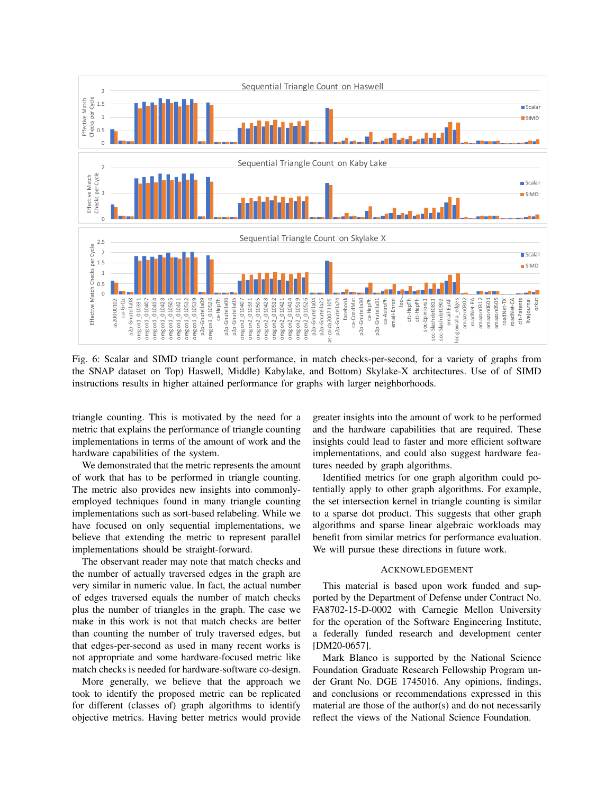<span id="page-5-0"></span>

Fig. 6: Scalar and SIMD triangle count performance, in match checks-per-second, for a variety of graphs from the SNAP dataset on Top) Haswell, Middle) Kabylake, and Bottom) Skylake-X architectures. Use of of SIMD instructions results in higher attained performance for graphs with larger neighborhoods.

triangle counting. This is motivated by the need for a metric that explains the performance of triangle counting implementations in terms of the amount of work and the hardware capabilities of the system.

We demonstrated that the metric represents the amount of work that has to be performed in triangle counting. The metric also provides new insights into commonlyemployed techniques found in many triangle counting implementations such as sort-based relabeling. While we have focused on only sequential implementations, we believe that extending the metric to represent parallel implementations should be straight-forward.

The observant reader may note that match checks and the number of actually traversed edges in the graph are very similar in numeric value. In fact, the actual number of edges traversed equals the number of match checks plus the number of triangles in the graph. The case we make in this work is not that match checks are better than counting the number of truly traversed edges, but that edges-per-second as used in many recent works is not appropriate and some hardware-focused metric like match checks is needed for hardware-software co-design.

More generally, we believe that the approach we took to identify the proposed metric can be replicated for different (classes of) graph algorithms to identify objective metrics. Having better metrics would provide greater insights into the amount of work to be performed and the hardware capabilities that are required. These insights could lead to faster and more efficient software implementations, and could also suggest hardware features needed by graph algorithms.

Identified metrics for one graph algorithm could potentially apply to other graph algorithms. For example, the set intersection kernel in triangle counting is similar to a sparse dot product. This suggests that other graph algorithms and sparse linear algebraic workloads may benefit from similar metrics for performance evaluation. We will pursue these directions in future work.

#### ACKNOWLEDGEMENT

This material is based upon work funded and supported by the Department of Defense under Contract No. FA8702-15-D-0002 with Carnegie Mellon University for the operation of the Software Engineering Institute, a federally funded research and development center [DM20-0657].

Mark Blanco is supported by the National Science Foundation Graduate Research Fellowship Program under Grant No. DGE 1745016. Any opinions, findings, and conclusions or recommendations expressed in this material are those of the author(s) and do not necessarily reflect the views of the National Science Foundation.